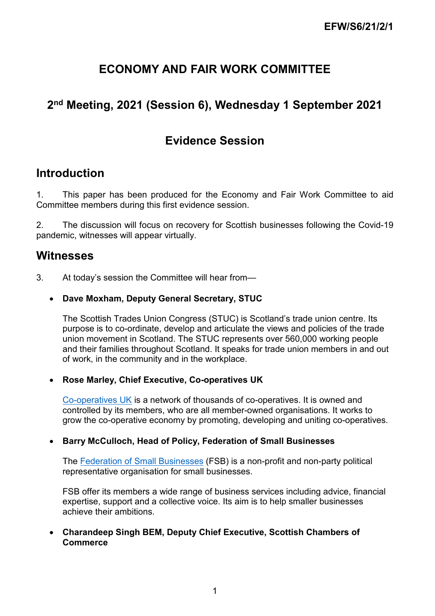# **ECONOMY AND FAIR WORK COMMITTEE**

# **2nd Meeting, 2021 (Session 6), Wednesday 1 September 2021**

# **Evidence Session**

## **Introduction**

1. This paper has been produced for the Economy and Fair Work Committee to aid Committee members during this first evidence session.

2. The discussion will focus on recovery for Scottish businesses following the Covid-19 pandemic, witnesses will appear virtually.

## **Witnesses**

3. At today's session the Committee will hear from—

## • **Dave Moxham, Deputy General Secretary, STUC**

The Scottish Trades Union Congress (STUC) is Scotland's trade union centre. Its purpose is to co-ordinate, develop and articulate the views and policies of the trade union movement in Scotland. The STUC represents over 560,000 working people and their families throughout Scotland. It speaks for trade union members in and out of work, in the community and in the workplace.

## • **Rose Marley, Chief Executive, Co-operatives UK**

[Co-operatives UK](https://www.uk.coop/) is a network of thousands of co-operatives. It is owned and controlled by its members, who are all member-owned organisations. It works to grow the co-operative economy by promoting, developing and uniting co-operatives.

## • **Barry McCulloch, Head of Policy, Federation of Small Businesses**

The [Federation of Small Businesses](https://www.fsb.org.uk/fsb-regions-and-nations/fsb-scotland.html) (FSB) is a non-profit and non-party political representative organisation for small businesses.

FSB offer its members a wide range of business services including advice, financial expertise, support and a collective voice. Its aim is to help smaller businesses achieve their ambitions.

## • **Charandeep Singh BEM, Deputy Chief Executive, Scottish Chambers of Commerce**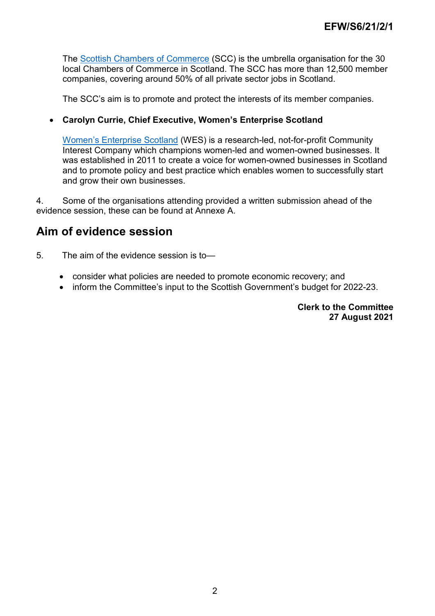The [Scottish Chambers of Commerce](https://www.scottishchambers.org.uk/) (SCC) is the umbrella organisation for the 30 local Chambers of Commerce in Scotland. The SCC has more than 12,500 member companies, covering around 50% of all private sector jobs in Scotland.

The SCC's aim is to promote and protect the interests of its member companies.

## • **Carolyn Currie, Chief Executive, Women's Enterprise Scotland**

[Women's Enterprise Scotland](https://www.wescotland.co.uk/) (WES) is a research-led, not-for-profit Community Interest Company which champions women-led and women-owned businesses. It was established in 2011 to create a voice for women-owned businesses in Scotland and to promote policy and best practice which enables women to successfully start and grow their own businesses.

4. Some of the organisations attending provided a written submission ahead of the evidence session, these can be found at Annexe A.

## **Aim of evidence session**

- 5. The aim of the evidence session is to—
	- consider what policies are needed to promote economic recovery; and
	- inform the Committee's input to the Scottish Government's budget for 2022-23.

**Clerk to the Committee 27 August 2021**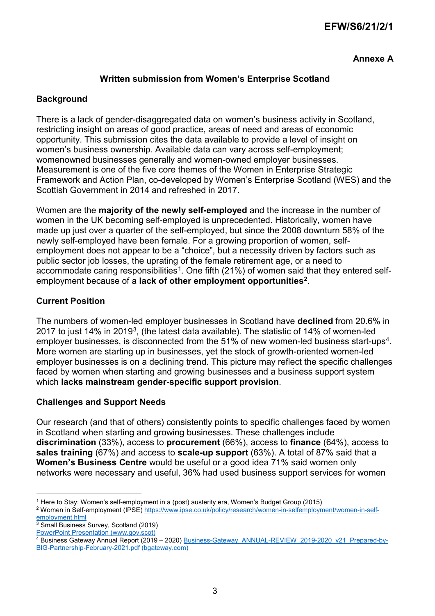## **EFW/S6/21/2/1**

**Annexe A**

## **Written submission from Women's Enterprise Scotland**

## **Background**

There is a lack of gender-disaggregated data on women's business activity in Scotland, restricting insight on areas of good practice, areas of need and areas of economic opportunity. This submission cites the data available to provide a level of insight on women's business ownership. Available data can vary across self-employment; womenowned businesses generally and women-owned employer businesses. Measurement is one of the five core themes of the Women in Enterprise Strategic Framework and Action Plan, co-developed by Women's Enterprise Scotland (WES) and the Scottish Government in 2014 and refreshed in 2017.

Women are the **majority of the newly self-employed** and the increase in the number of women in the UK becoming self-employed is unprecedented. Historically, women have made up just over a quarter of the self-employed, but since the 2008 downturn 58% of the newly self-employed have been female. For a growing proportion of women, selfemployment does not appear to be a "choice", but a necessity driven by factors such as public sector job losses, the uprating of the female retirement age, or a need to accommodate caring responsibilities<sup>[1](#page-2-0)</sup>. One fifth (21%) of women said that they entered selfemployment because of a **lack of other employment opportunities[2](#page-2-1)**.

## **Current Position**

The numbers of women-led employer businesses in Scotland have **declined** from 20.6% in 2017 to just 14% in 2019[3,](#page-2-2) (the latest data available). The statistic of 14% of women-led employer businesses, is disconnected from the 51% of new women-led business start-ups<sup>4</sup>. More women are starting up in businesses, yet the stock of growth-oriented women-led employer businesses is on a declining trend. This picture may reflect the specific challenges faced by women when starting and growing businesses and a business support system which **lacks mainstream gender-specific support provision**.

#### **Challenges and Support Needs**

Our research (and that of others) consistently points to specific challenges faced by women in Scotland when starting and growing businesses. These challenges include **discrimination** (33%), access to **procurement** (66%), access to **finance** (64%), access to **sales training** (67%) and access to **scale-up support** (63%). A total of 87% said that a **Women's Business Centre** would be useful or a good idea 71% said women only networks were necessary and useful, 36% had used business support services for women

 <sup>1</sup> Here to Stay: Women's self-employment in a (post) austerity era, Women's Budget Group (2015)

<span id="page-2-1"></span><span id="page-2-0"></span><sup>&</sup>lt;sup>2</sup> Women in Self-employment (IPSE[\) https://www.ipse.co.uk/policy/research/women-in-selfemployment/women-in-self](https://www.ipse.co.uk/policy/research/women-in-selfemployment/women-in-self-employment.html)[employment.html](https://www.ipse.co.uk/policy/research/women-in-selfemployment/women-in-self-employment.html)

<span id="page-2-2"></span><sup>&</sup>lt;sup>3</sup> Small Business Survey, Scotland (2019)

[PowerPoint Presentation \(www.gov.scot\)](https://www.gov.scot/binaries/content/documents/govscot/publications/statistics/2020/08/small-business-survey-scotland-2019/documents/sbs-2019-summary-report/sbs-2019-summary-report/govscot%3Adocument/OCEA%2B-%2BBusiness%2BEconomics%2B-%2BSBS%2B2019%2B-%2BSummary%2BReport%2BPP%2B%2528002%2529.pdf)

<span id="page-2-3"></span><sup>&</sup>lt;sup>4</sup> Business Gateway Annual Report (2019 – 2020) Business-Gateway ANNUAL-REVIEW 2019-2020 v21 Prepared-by-[BIG-Partnership-February-2021.pdf \(bgateway.com\)](https://www.bgateway.com/assets/templates/Business-Gateway_ANNUAL-REVIEW_2019-2020_v21_Prepared-by-BIG-Partnership-February-2021.pdf)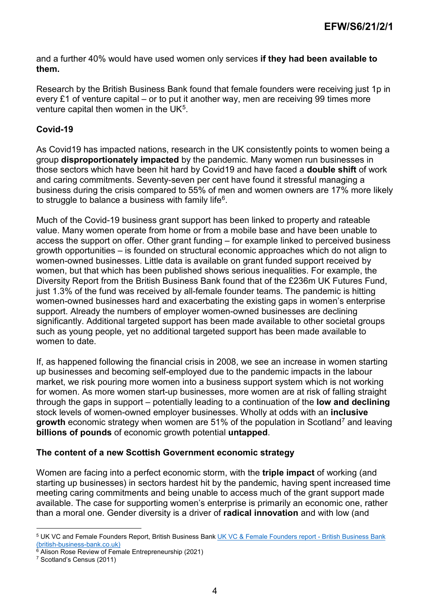and a further 40% would have used women only services **if they had been available to them.**

Research by the British Business Bank found that female founders were receiving just 1p in every £1 of venture capital – or to put it another way, men are receiving 99 times more venture capital then women in the  $UK<sup>5</sup>$  $UK<sup>5</sup>$  $UK<sup>5</sup>$ .

## **Covid-19**

As Covid19 has impacted nations, research in the UK consistently points to women being a group **disproportionately impacted** by the pandemic. Many women run businesses in those sectors which have been hit hard by Covid19 and have faced a **double shift** of work and caring commitments. Seventy-seven per cent have found it stressful managing a business during the crisis compared to 55% of men and women owners are 17% more likely to struggle to balance a business with family life<sup>[6](#page-3-1)</sup>.

Much of the Covid-19 business grant support has been linked to property and rateable value. Many women operate from home or from a mobile base and have been unable to access the support on offer. Other grant funding – for example linked to perceived business growth opportunities – is founded on structural economic approaches which do not align to women-owned businesses. Little data is available on grant funded support received by women, but that which has been published shows serious inequalities. For example, the Diversity Report from the British Business Bank found that of the £236m UK Futures Fund, just 1.3% of the fund was received by all-female founder teams. The pandemic is hitting women-owned businesses hard and exacerbating the existing gaps in women's enterprise support. Already the numbers of employer women-owned businesses are declining significantly. Additional targeted support has been made available to other societal groups such as young people, yet no additional targeted support has been made available to women to date

If, as happened following the financial crisis in 2008, we see an increase in women starting up businesses and becoming self-employed due to the pandemic impacts in the labour market, we risk pouring more women into a business support system which is not working for women. As more women start-up businesses, more women are at risk of falling straight through the gaps in support – potentially leading to a continuation of the **low and declining** stock levels of women-owned employer businesses. Wholly at odds with an **inclusive growth** economic strategy when women are 51% of the population in Scotland<sup>[7](#page-3-2)</sup> and leaving **billions of pounds** of economic growth potential **untapped**.

#### **The content of a new Scottish Government economic strategy**

Women are facing into a perfect economic storm, with the **triple impact** of working (and starting up businesses) in sectors hardest hit by the pandemic, having spent increased time meeting caring commitments and being unable to access much of the grant support made available. The case for supporting women's enterprise is primarily an economic one, rather than a moral one. Gender diversity is a driver of **radical innovation** and with low (and

<span id="page-3-0"></span> <sup>5</sup> UK VC and Female Founders Report, British Business Ban[k UK VC & Female Founders report -](https://www.british-business-bank.co.uk/uk-vc-female-founders-report/) British Business Bank [\(british-business-bank.co.uk\)](https://www.british-business-bank.co.uk/uk-vc-female-founders-report/)

<span id="page-3-1"></span> $\frac{6}{6}$  Alison Rose Review of Female Entrepreneurship (2021)

<span id="page-3-2"></span><sup>7</sup> Scotland's Census (2011)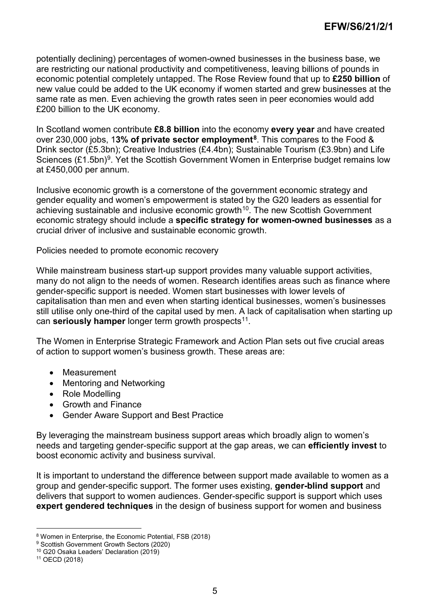potentially declining) percentages of women-owned businesses in the business base, we are restricting our national productivity and competitiveness, leaving billions of pounds in economic potential completely untapped. The Rose Review found that up to **£250 billion** of new value could be added to the UK economy if women started and grew businesses at the same rate as men. Even achieving the growth rates seen in peer economies would add £200 billion to the UK economy.

In Scotland women contribute **£8.8 billion** into the economy **every year** and have created over 230,000 jobs, 1**3% of private sector employment[8](#page-4-0)**. This compares to the Food & Drink sector (£5.3bn); Creative Industries (£4.4bn); Sustainable Tourism (£3.9bn) and Life Sciences  $(E1.5bn)^9$  $(E1.5bn)^9$ . Yet the Scottish Government Women in Enterprise budget remains low at £450,000 per annum.

Inclusive economic growth is a cornerstone of the government economic strategy and gender equality and women's empowerment is stated by the G20 leaders as essential for achieving sustainable and inclusive economic growth<sup>10</sup>. The new Scottish Government economic strategy should include a **specific strategy for women-owned businesses** as a crucial driver of inclusive and sustainable economic growth.

Policies needed to promote economic recovery

While mainstream business start-up support provides many valuable support activities, many do not align to the needs of women. Research identifies areas such as finance where gender-specific support is needed. Women start businesses with lower levels of capitalisation than men and even when starting identical businesses, women's businesses still utilise only one-third of the capital used by men. A lack of capitalisation when starting up can **seriously hamper** longer term growth prospects<sup>11</sup>.

The Women in Enterprise Strategic Framework and Action Plan sets out five crucial areas of action to support women's business growth. These areas are:

- Measurement
- Mentoring and Networking
- Role Modelling
- Growth and Finance
- Gender Aware Support and Best Practice

By leveraging the mainstream business support areas which broadly align to women's needs and targeting gender-specific support at the gap areas, we can **efficiently invest** to boost economic activity and business survival.

It is important to understand the difference between support made available to women as a group and gender-specific support. The former uses existing, **gender-blind support** and delivers that support to women audiences. Gender-specific support is support which uses **expert gendered techniques** in the design of business support for women and business

 <sup>8</sup> Women in Enterprise, the Economic Potential, FSB (2018)

<span id="page-4-1"></span><span id="page-4-0"></span><sup>9</sup> Scottish Government Growth Sectors (2020)

<span id="page-4-2"></span><sup>10</sup> G20 Osaka Leaders' Declaration (2019)

<span id="page-4-3"></span><sup>11</sup> OECD (2018)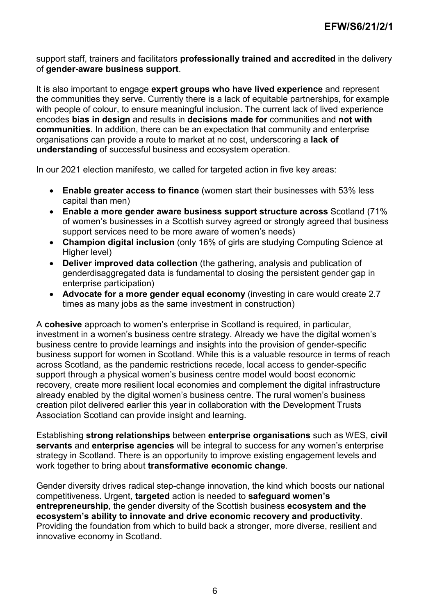support staff, trainers and facilitators **professionally trained and accredited** in the delivery of **gender-aware business support**.

It is also important to engage **expert groups who have lived experience** and represent the communities they serve. Currently there is a lack of equitable partnerships, for example with people of colour, to ensure meaningful inclusion. The current lack of lived experience encodes **bias in design** and results in **decisions made for** communities and **not with communities**. In addition, there can be an expectation that community and enterprise organisations can provide a route to market at no cost, underscoring a **lack of understanding** of successful business and ecosystem operation.

In our 2021 election manifesto, we called for targeted action in five key areas:

- **Enable greater access to finance** (women start their businesses with 53% less capital than men)
- **Enable a more gender aware business support structure across** Scotland (71% of women's businesses in a Scottish survey agreed or strongly agreed that business support services need to be more aware of women's needs)
- **Champion digital inclusion** (only 16% of girls are studying Computing Science at Higher level)
- **Deliver improved data collection** (the gathering, analysis and publication of genderdisaggregated data is fundamental to closing the persistent gender gap in enterprise participation)
- **Advocate for a more gender equal economy** (investing in care would create 2.7 times as many jobs as the same investment in construction)

A **cohesive** approach to women's enterprise in Scotland is required, in particular, investment in a women's business centre strategy. Already we have the digital women's business centre to provide learnings and insights into the provision of gender-specific business support for women in Scotland. While this is a valuable resource in terms of reach across Scotland, as the pandemic restrictions recede, local access to gender-specific support through a physical women's business centre model would boost economic recovery, create more resilient local economies and complement the digital infrastructure already enabled by the digital women's business centre. The rural women's business creation pilot delivered earlier this year in collaboration with the Development Trusts Association Scotland can provide insight and learning.

Establishing **strong relationships** between **enterprise organisations** such as WES, **civil servants** and **enterprise agencies** will be integral to success for any women's enterprise strategy in Scotland. There is an opportunity to improve existing engagement levels and work together to bring about **transformative economic change**.

Gender diversity drives radical step-change innovation, the kind which boosts our national competitiveness. Urgent, **targeted** action is needed to **safeguard women's entrepreneurship**, the gender diversity of the Scottish business **ecosystem and the ecosystem's ability to innovate and drive economic recovery and productivity**. Providing the foundation from which to build back a stronger, more diverse, resilient and innovative economy in Scotland.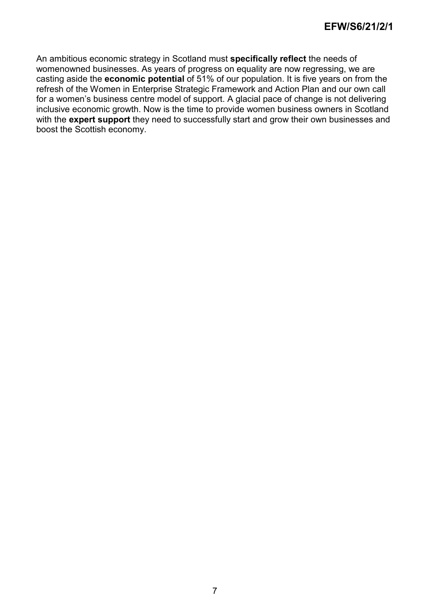An ambitious economic strategy in Scotland must **specifically reflect** the needs of womenowned businesses. As years of progress on equality are now regressing, we are casting aside the **economic potential** of 51% of our population. It is five years on from the refresh of the Women in Enterprise Strategic Framework and Action Plan and our own call for a women's business centre model of support. A glacial pace of change is not delivering inclusive economic growth. Now is the time to provide women business owners in Scotland with the **expert support** they need to successfully start and grow their own businesses and boost the Scottish economy.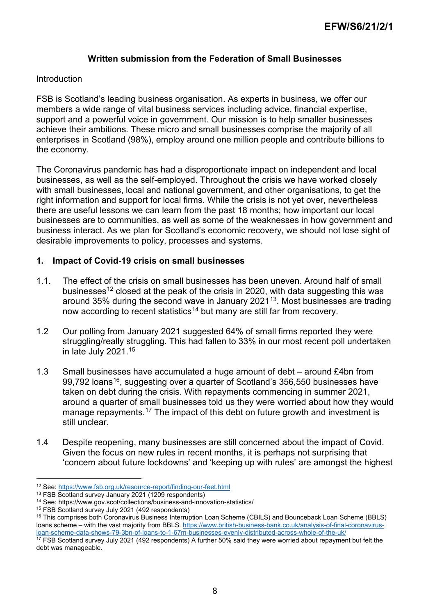#### **Written submission from the Federation of Small Businesses**

#### Introduction

FSB is Scotland's leading business organisation. As experts in business, we offer our members a wide range of vital business services including advice, financial expertise, support and a powerful voice in government. Our mission is to help smaller businesses achieve their ambitions. These micro and small businesses comprise the majority of all enterprises in Scotland (98%), employ around one million people and contribute billions to the economy.

The Coronavirus pandemic has had a disproportionate impact on independent and local businesses, as well as the self-employed. Throughout the crisis we have worked closely with small businesses, local and national government, and other organisations, to get the right information and support for local firms. While the crisis is not yet over, nevertheless there are useful lessons we can learn from the past 18 months; how important our local businesses are to communities, as well as some of the weaknesses in how government and business interact. As we plan for Scotland's economic recovery, we should not lose sight of desirable improvements to policy, processes and systems.

#### **1. Impact of Covid-19 crisis on small businesses**

- 1.1. The effect of the crisis on small businesses has been uneven. Around half of small businesses<sup>[12](#page-7-0)</sup> closed at the peak of the crisis in 2020, with data suggesting this was around 35% during the second wave in January 2021 $13$ . Most businesses are trading now according to recent statistics<sup>[14](#page-7-2)</sup> but many are still far from recovery.
- 1.2 Our polling from January 2021 suggested 64% of small firms reported they were struggling/really struggling. This had fallen to 33% in our most recent poll undertaken in late July 2021.[15](#page-7-3)
- 1.3 Small businesses have accumulated a huge amount of debt around £4bn from 99,792 loans<sup>16</sup>, suggesting over a quarter of Scotland's 356,550 businesses have taken on debt during the crisis. With repayments commencing in summer 2021, around a quarter of small businesses told us they were worried about how they would manage repayments.<sup>[17](#page-7-5)</sup> The impact of this debt on future growth and investment is still unclear.
- 1.4 Despite reopening, many businesses are still concerned about the impact of Covid. Given the focus on new rules in recent months, it is perhaps not surprising that 'concern about future lockdowns' and 'keeping up with rules' are amongst the highest

 <sup>12</sup> See:<https://www.fsb.org.uk/resource-report/finding-our-feet.html>

<span id="page-7-1"></span><span id="page-7-0"></span><sup>13</sup> FSB Scotland survey January 2021 (1209 respondents)

<span id="page-7-2"></span><sup>&</sup>lt;sup>14</sup> See: https://www.gov.scot/collections/business-and-innovation-statistics/<br><sup>15</sup> FSB Scotland survey July 2021 (492 respondents)

<span id="page-7-4"></span><span id="page-7-3"></span><sup>&</sup>lt;sup>16</sup> This comprises both Coronavirus Business Interruption Loan Scheme (CBILS) and Bounceback Loan Scheme (BBLS) loans scheme – with the vast majority from BBLS. [https://www.british-business-bank.co.uk/analysis-of-final-coronavirus](https://www.british-business-bank.co.uk/analysis-of-final-coronavirus-loan-scheme-data-shows-79-3bn-of-loans-to-1-67m-businesses-evenly-distributed-across-whole-of-the-uk/)[loan-scheme-data-shows-79-3bn-of-loans-to-1-67m-businesses-evenly-distributed-across-whole-of-the-uk/](https://www.british-business-bank.co.uk/analysis-of-final-coronavirus-loan-scheme-data-shows-79-3bn-of-loans-to-1-67m-businesses-evenly-distributed-across-whole-of-the-uk/)

<span id="page-7-5"></span> $17$  FSB Scotland survey July 2021 (492 respondents) A further 50% said they were worried about repayment but felt the debt was manageable.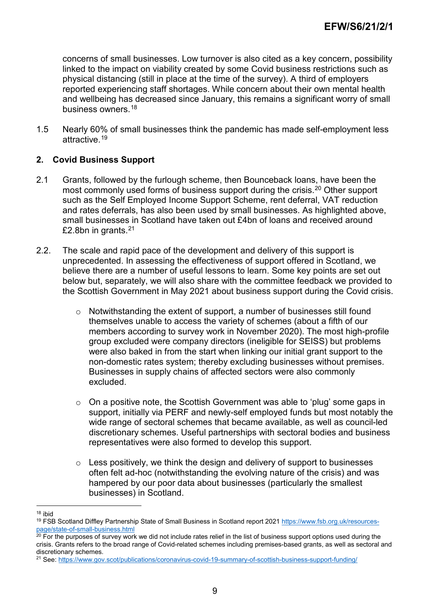concerns of small businesses. Low turnover is also cited as a key concern, possibility linked to the impact on viability created by some Covid business restrictions such as physical distancing (still in place at the time of the survey). A third of employers reported experiencing staff shortages. While concern about their own mental health and wellbeing has decreased since January, this remains a significant worry of small business owners.[18](#page-8-0)

1.5 Nearly 60% of small businesses think the pandemic has made self-employment less attractive.[19](#page-8-1)

## **2. Covid Business Support**

- 2.1 Grants, followed by the furlough scheme, then Bounceback loans, have been the most commonly used forms of business support during the crisis.<sup>[20](#page-8-2)</sup> Other support such as the Self Employed Income Support Scheme, rent deferral, VAT reduction and rates deferrals, has also been used by small businesses. As highlighted above, small businesses in Scotland have taken out £4bn of loans and received around £2.8bn in grants.[21](#page-8-3)
- 2.2. The scale and rapid pace of the development and delivery of this support is unprecedented. In assessing the effectiveness of support offered in Scotland, we believe there are a number of useful lessons to learn. Some key points are set out below but, separately, we will also share with the committee feedback we provided to the Scottish Government in May 2021 about business support during the Covid crisis.
	- o Notwithstanding the extent of support, a number of businesses still found themselves unable to access the variety of schemes (about a fifth of our members according to survey work in November 2020). The most high-profile group excluded were company directors (ineligible for SEISS) but problems were also baked in from the start when linking our initial grant support to the non-domestic rates system; thereby excluding businesses without premises. Businesses in supply chains of affected sectors were also commonly excluded.
	- $\circ$  On a positive note, the Scottish Government was able to 'plug' some gaps in support, initially via PERF and newly-self employed funds but most notably the wide range of sectoral schemes that became available, as well as council-led discretionary schemes. Useful partnerships with sectoral bodies and business representatives were also formed to develop this support.
	- $\circ$  Less positively, we think the design and delivery of support to businesses often felt ad-hoc (notwithstanding the evolving nature of the crisis) and was hampered by our poor data about businesses (particularly the smallest businesses) in Scotland.

 <sup>18</sup> ibid

<span id="page-8-1"></span><span id="page-8-0"></span><sup>19</sup> FSB Scotland Diffley Partnership State of Small Business in Scotland report 202[1 https://www.fsb.org.uk/resources](https://www.fsb.org.uk/resources-page/state-of-small-business.html)[page/state-of-small-business.html](https://www.fsb.org.uk/resources-page/state-of-small-business.html)

<span id="page-8-2"></span> $20$  For the purposes of survey work we did not include rates relief in the list of business support options used during the crisis. Grants refers to the broad range of Covid-related schemes including premises-based grants, as well as sectoral and discretionary schemes.

<span id="page-8-3"></span><sup>21</sup> See:<https://www.gov.scot/publications/coronavirus-covid-19-summary-of-scottish-business-support-funding/>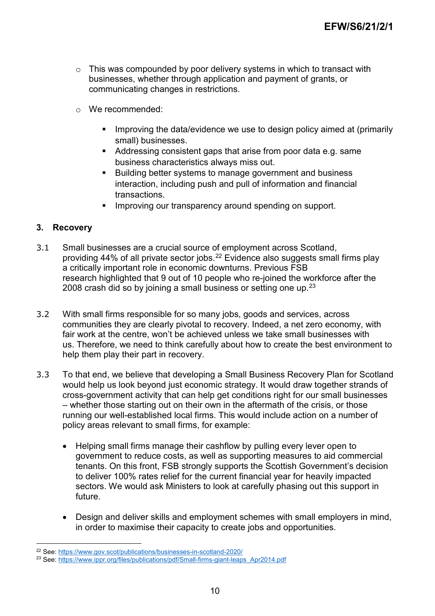- o This was compounded by poor delivery systems in which to transact with businesses, whether through application and payment of grants, or communicating changes in restrictions.
- o We recommended:
	- Improving the data/evidence we use to design policy aimed at (primarily small) businesses.
	- Addressing consistent gaps that arise from poor data e.g. same business characteristics always miss out.
	- **Building better systems to manage government and business** interaction, including push and pull of information and financial transactions.
	- Improving our transparency around spending on support.

## **3. Recovery**

- 3.1 Small businesses are a crucial source of employment across Scotland, providing 44% of all private sector jobs.<sup>[22](#page-9-0)</sup> Evidence also suggests small firms play a critically important role in economic downturns. Previous FSB research highlighted that 9 out of 10 people who re-joined the workforce after the 2008 crash did so by joining a small business or setting one up.  $23$
- 3.2 With small firms responsible for so many jobs, goods and services, across communities they are clearly pivotal to recovery. Indeed, a net zero economy, with fair work at the centre, won't be achieved unless we take small businesses with us. Therefore, we need to think carefully about how to create the best environment to help them play their part in recovery.
- 3.3 To that end, we believe that developing a Small Business Recovery Plan for Scotland would help us look beyond just economic strategy. It would draw together strands of cross-government activity that can help get conditions right for our small businesses – whether those starting out on their own in the aftermath of the crisis, or those running our well-established local firms. This would include action on a number of policy areas relevant to small firms, for example:
	- Helping small firms manage their cashflow by pulling every lever open to government to reduce costs, as well as supporting measures to aid commercial tenants. On this front, FSB strongly supports the Scottish Government's decision to deliver 100% rates relief for the current financial year for heavily impacted sectors. We would ask Ministers to look at carefully phasing out this support in future.
	- Design and deliver skills and employment schemes with small employers in mind, in order to maximise their capacity to create jobs and opportunities.

 <sup>22</sup> See: <u>https://www.gov.scot/publications/businesses-in-scotland-2020/</u>

<span id="page-9-1"></span><span id="page-9-0"></span><sup>&</sup>lt;sup>23</sup> See: [https://www.ippr.org/files/publications/pdf/Small-firms-giant-leaps\\_Apr2014.pdf](https://www.ippr.org/files/publications/pdf/Small-firms-giant-leaps_Apr2014.pdf)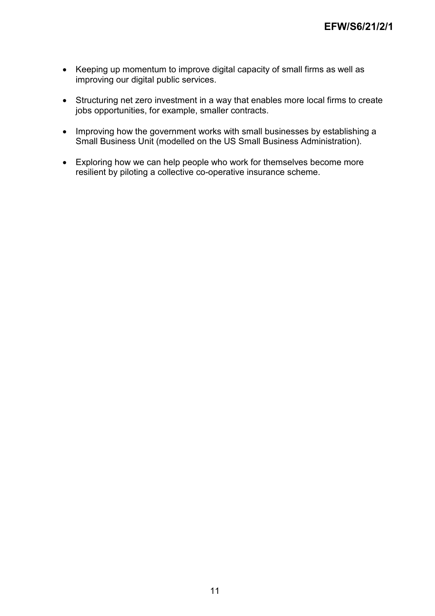- Keeping up momentum to improve digital capacity of small firms as well as improving our digital public services.
- Structuring net zero investment in a way that enables more local firms to create jobs opportunities, for example, smaller contracts.
- Improving how the government works with small businesses by establishing a Small Business Unit (modelled on the US Small Business Administration).
- Exploring how we can help people who work for themselves become more resilient by piloting a collective co-operative insurance scheme.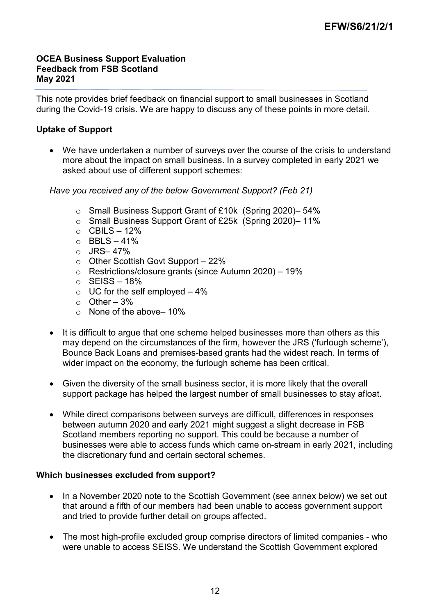### **OCEA Business Support Evaluation Feedback from FSB Scotland May 2021**

This note provides brief feedback on financial support to small businesses in Scotland during the Covid-19 crisis. We are happy to discuss any of these points in more detail.

## **Uptake of Support**

• We have undertaken a number of surveys over the course of the crisis to understand more about the impact on small business. In a survey completed in early 2021 we asked about use of different support schemes:

*Have you received any of the below Government Support? (Feb 21)*

- o Small Business Support Grant of £10k (Spring 2020)– 54%
- o Small Business Support Grant of £25k (Spring 2020)– 11%
- $\circ$  CBILS 12%
- $O$  BBLS 41%
- o JRS– 47%
- o Other Scottish Govt Support 22%
- o Restrictions/closure grants (since Autumn 2020) 19%
- $\circ$  SEISS 18%
- $\circ$  UC for the self employed  $-4\%$
- $\circ$  Other 3%
- $\circ$  None of the above– 10%
- It is difficult to argue that one scheme helped businesses more than others as this may depend on the circumstances of the firm, however the JRS ('furlough scheme'), Bounce Back Loans and premises-based grants had the widest reach. In terms of wider impact on the economy, the furlough scheme has been critical.
- Given the diversity of the small business sector, it is more likely that the overall support package has helped the largest number of small businesses to stay afloat.
- While direct comparisons between surveys are difficult, differences in responses between autumn 2020 and early 2021 might suggest a slight decrease in FSB Scotland members reporting no support. This could be because a number of businesses were able to access funds which came on-stream in early 2021, including the discretionary fund and certain sectoral schemes.

#### **Which businesses excluded from support?**

- In a November 2020 note to the Scottish Government (see annex below) we set out that around a fifth of our members had been unable to access government support and tried to provide further detail on groups affected.
- The most high-profile excluded group comprise directors of limited companies who were unable to access SEISS. We understand the Scottish Government explored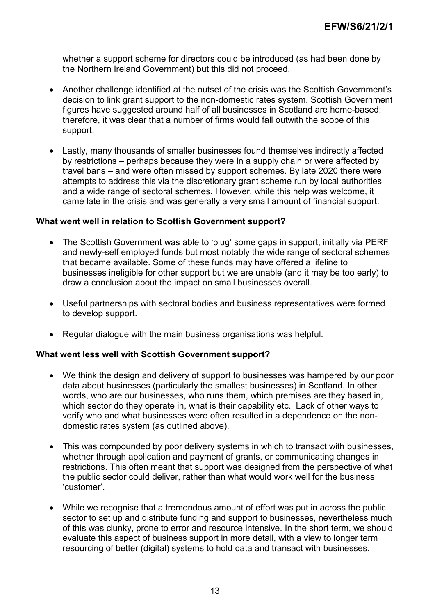whether a support scheme for directors could be introduced (as had been done by the Northern Ireland Government) but this did not proceed.

- Another challenge identified at the outset of the crisis was the Scottish Government's decision to link grant support to the non-domestic rates system. Scottish Government figures have suggested around half of all businesses in Scotland are home-based: therefore, it was clear that a number of firms would fall outwith the scope of this support.
- Lastly, many thousands of smaller businesses found themselves indirectly affected by restrictions – perhaps because they were in a supply chain or were affected by travel bans – and were often missed by support schemes. By late 2020 there were attempts to address this via the discretionary grant scheme run by local authorities and a wide range of sectoral schemes. However, while this help was welcome, it came late in the crisis and was generally a very small amount of financial support.

#### **What went well in relation to Scottish Government support?**

- The Scottish Government was able to 'plug' some gaps in support, initially via PERF and newly-self employed funds but most notably the wide range of sectoral schemes that became available. Some of these funds may have offered a lifeline to businesses ineligible for other support but we are unable (and it may be too early) to draw a conclusion about the impact on small businesses overall.
- Useful partnerships with sectoral bodies and business representatives were formed to develop support.
- Regular dialogue with the main business organisations was helpful.

#### **What went less well with Scottish Government support?**

- We think the design and delivery of support to businesses was hampered by our poor data about businesses (particularly the smallest businesses) in Scotland. In other words, who are our businesses, who runs them, which premises are they based in, which sector do they operate in, what is their capability etc. Lack of other ways to verify who and what businesses were often resulted in a dependence on the nondomestic rates system (as outlined above).
- This was compounded by poor delivery systems in which to transact with businesses, whether through application and payment of grants, or communicating changes in restrictions. This often meant that support was designed from the perspective of what the public sector could deliver, rather than what would work well for the business 'customer'.
- While we recognise that a tremendous amount of effort was put in across the public sector to set up and distribute funding and support to businesses, nevertheless much of this was clunky, prone to error and resource intensive. In the short term, we should evaluate this aspect of business support in more detail, with a view to longer term resourcing of better (digital) systems to hold data and transact with businesses.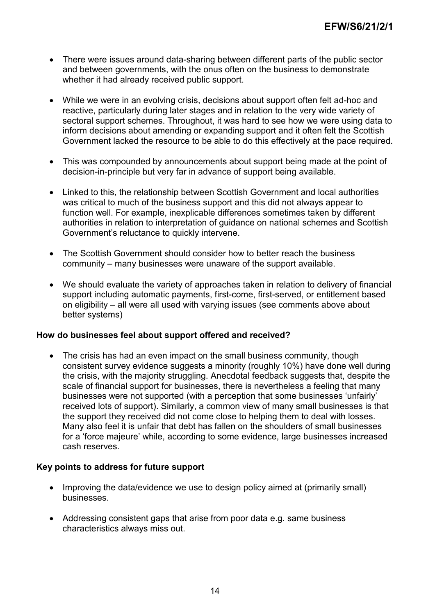- There were issues around data-sharing between different parts of the public sector and between governments, with the onus often on the business to demonstrate whether it had already received public support.
- While we were in an evolving crisis, decisions about support often felt ad-hoc and reactive, particularly during later stages and in relation to the very wide variety of sectoral support schemes. Throughout, it was hard to see how we were using data to inform decisions about amending or expanding support and it often felt the Scottish Government lacked the resource to be able to do this effectively at the pace required.
- This was compounded by announcements about support being made at the point of decision-in-principle but very far in advance of support being available.
- Linked to this, the relationship between Scottish Government and local authorities was critical to much of the business support and this did not always appear to function well. For example, inexplicable differences sometimes taken by different authorities in relation to interpretation of guidance on national schemes and Scottish Government's reluctance to quickly intervene.
- The Scottish Government should consider how to better reach the business community – many businesses were unaware of the support available.
- We should evaluate the variety of approaches taken in relation to delivery of financial support including automatic payments, first-come, first-served, or entitlement based on eligibility – all were all used with varying issues (see comments above about better systems)

#### **How do businesses feel about support offered and received?**

• The crisis has had an even impact on the small business community, though consistent survey evidence suggests a minority (roughly 10%) have done well during the crisis, with the majority struggling. Anecdotal feedback suggests that, despite the scale of financial support for businesses, there is nevertheless a feeling that many businesses were not supported (with a perception that some businesses 'unfairly' received lots of support). Similarly, a common view of many small businesses is that the support they received did not come close to helping them to deal with losses. Many also feel it is unfair that debt has fallen on the shoulders of small businesses for a 'force majeure' while, according to some evidence, large businesses increased cash reserves.

#### **Key points to address for future support**

- Improving the data/evidence we use to design policy aimed at (primarily small) businesses.
- Addressing consistent gaps that arise from poor data e.g. same business characteristics always miss out.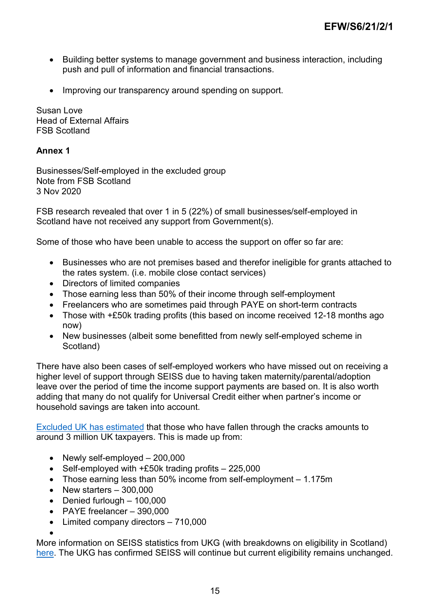- Building better systems to manage government and business interaction, including push and pull of information and financial transactions.
- Improving our transparency around spending on support.

Susan Love Head of External Affairs FSB Scotland

## **Annex 1**

Businesses/Self-employed in the excluded group Note from FSB Scotland 3 Nov 2020

FSB research revealed that over 1 in 5 (22%) of small businesses/self-employed in Scotland have not received any support from Government(s).

Some of those who have been unable to access the support on offer so far are:

- Businesses who are not premises based and therefor ineligible for grants attached to the rates system. (i.e. mobile close contact services)
- Directors of limited companies
- Those earning less than 50% of their income through self-employment
- Freelancers who are sometimes paid through PAYE on short-term contracts
- Those with +£50k trading profits (this based on income received 12-18 months ago now)
- New businesses (albeit some benefitted from newly self-employed scheme in Scotland)

There have also been cases of self-employed workers who have missed out on receiving a higher level of support through SEISS due to having taken maternity/parental/adoption leave over the period of time the income support payments are based on. It is also worth adding that many do not qualify for Universal Credit either when partner's income or household savings are taken into account.

[Excluded UK has estimated](https://www.excludeduk.org/three-million-breakdown) that those who have fallen through the cracks amounts to around 3 million UK taxpayers. This is made up from:

- Newly self-employed 200,000
- Self-employed with +£50k trading profits 225,000
- Those earning less than 50% income from self-employment 1.175m
- New starters 300,000
- Denied furlough 100,000
- PAYE freelancer 390,000
- Limited company directors 710,000

•

More information on SEISS statistics from UKG (with breakdowns on eligibility in Scotland) [here.](https://www.gov.uk/government/statistics/self-employment-income-support-scheme-statistics-october-2020) The UKG has confirmed SEISS will continue but current eligibility remains unchanged.